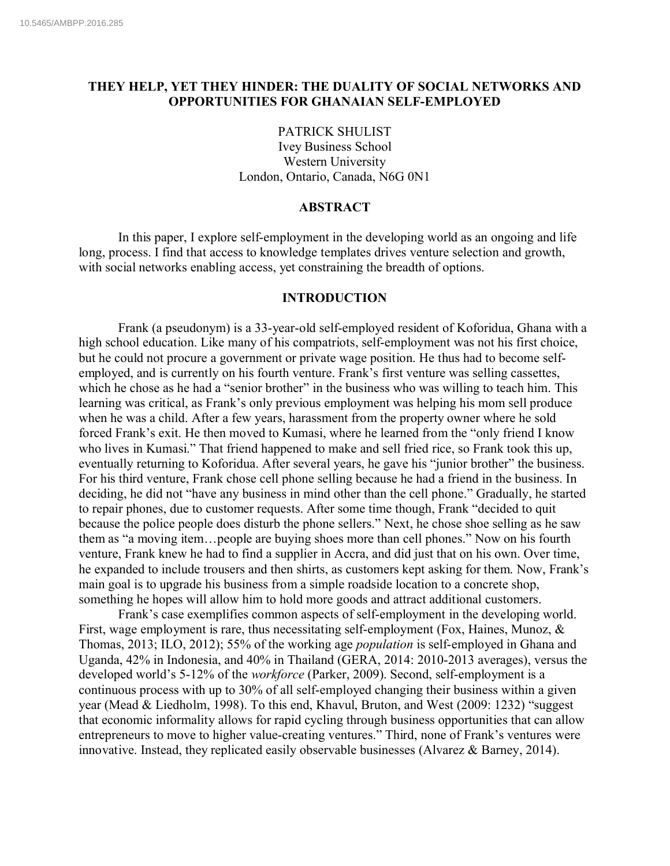# **THEY HELP, YET THEY HINDER: THE DUALITY OF SOCIAL NETWORKS AND OPPORTUNITIES FOR GHANAIAN SELF-EMPLOYED**

### PATRICK SHULIST

Ivey Business School Western University London, Ontario, Canada, N6G 0N1

# **ABSTRACT**

In this paper, I explore self-employment in the developing world as an ongoing and life long, process. I find that access to knowledge templates drives venture selection and growth, with social networks enabling access, yet constraining the breadth of options.

## **INTRODUCTION**

Frank (a pseudonym) is a 33-year-old self-employed resident of Koforidua, Ghana with a high school education. Like many of his compatriots, self-employment was not his first choice, but he could not procure a government or private wage position. He thus had to become selfemployed, and is currently on his fourth venture. Frank's first venture was selling cassettes, which he chose as he had a "senior brother" in the business who was willing to teach him. This learning was critical, as Frank's only previous employment was helping his mom sell produce when he was a child. After a few years, harassment from the property owner where he sold forced Frank's exit. He then moved to Kumasi, where he learned from the "only friend I know who lives in Kumasi." That friend happened to make and sell fried rice, so Frank took this up, eventually returning to Koforidua. After several years, he gave his "junior brother" the business. For his third venture, Frank chose cell phone selling because he had a friend in the business. In deciding, he did not "have any business in mind other than the cell phone." Gradually, he started to repair phones, due to customer requests. After some time though, Frank "decided to quit because the police people does disturb the phone sellers." Next, he chose shoe selling as he saw them as "a moving item…people are buying shoes more than cell phones." Now on his fourth venture, Frank knew he had to find a supplier in Accra, and did just that on his own. Over time, he expanded to include trousers and then shirts, as customers kept asking for them. Now, Frank's main goal is to upgrade his business from a simple roadside location to a concrete shop, something he hopes will allow him to hold more goods and attract additional customers.

Frank's case exemplifies common aspects of self-employment in the developing world. First, wage employment is rare, thus necessitating self-employment (Fox, Haines, Munoz, & Thomas, 2013; ILO, 2012); 55% of the working age *population* is self-employed in Ghana and Uganda, 42% in Indonesia, and 40% in Thailand (GERA, 2014: 2010-2013 averages), versus the developed world's 5-12% of the *workforce* (Parker, 2009). Second, self-employment is a continuous process with up to 30% of all self-employed changing their business within a given year (Mead & Liedholm, 1998). To this end, Khavul, Bruton, and West (2009: 1232) "suggest that economic informality allows for rapid cycling through business opportunities that can allow entrepreneurs to move to higher value-creating ventures." Third, none of Frank's ventures were innovative. Instead, they replicated easily observable businesses (Alvarez & Barney, 2014).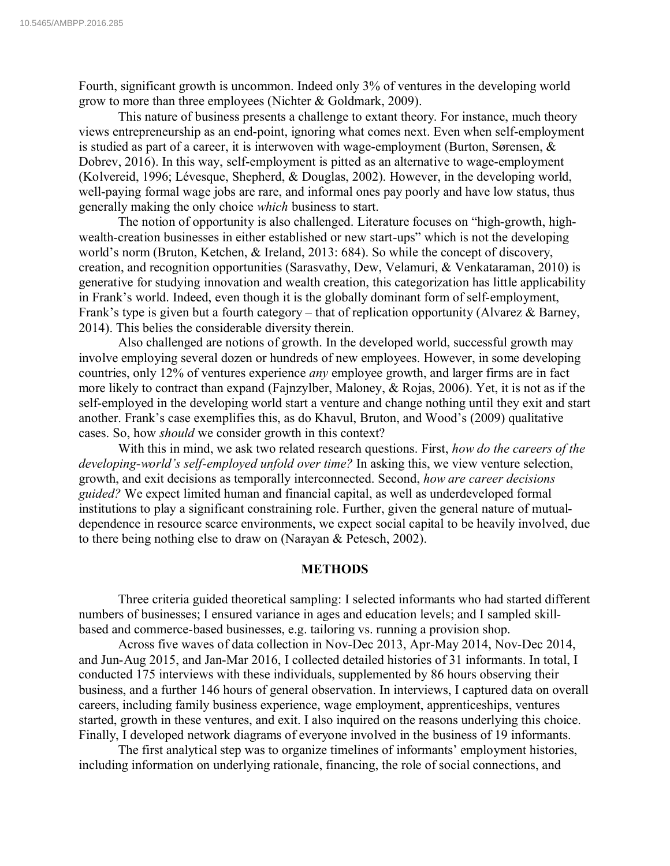Fourth, significant growth is uncommon. Indeed only 3% of ventures in the developing world grow to more than three employees (Nichter & Goldmark, 2009).

This nature of business presents a challenge to extant theory. For instance, much theory views entrepreneurship as an end-point, ignoring what comes next. Even when self-employment is studied as part of a career, it is interwoven with wage-employment (Burton, Sørensen,  $\&$ Dobrev, 2016). In this way, self-employment is pitted as an alternative to wage-employment (Kolvereid, 1996; Lévesque, Shepherd, & Douglas, 2002). However, in the developing world, well-paying formal wage jobs are rare, and informal ones pay poorly and have low status, thus generally making the only choice *which* business to start.

The notion of opportunity is also challenged. Literature focuses on "high-growth, highwealth-creation businesses in either established or new start-ups" which is not the developing world's norm (Bruton, Ketchen, & Ireland, 2013: 684). So while the concept of discovery, creation, and recognition opportunities (Sarasvathy, Dew, Velamuri, & Venkataraman, 2010) is generative for studying innovation and wealth creation, this categorization has little applicability in Frank's world. Indeed, even though it is the globally dominant form of self-employment, Frank's type is given but a fourth category – that of replication opportunity (Alvarez & Barney, 2014). This belies the considerable diversity therein.

Also challenged are notions of growth. In the developed world, successful growth may involve employing several dozen or hundreds of new employees. However, in some developing countries, only 12% of ventures experience *any* employee growth, and larger firms are in fact more likely to contract than expand (Fajnzylber, Maloney, & Rojas, 2006). Yet, it is not as if the self-employed in the developing world start a venture and change nothing until they exit and start another. Frank's case exemplifies this, as do Khavul, Bruton, and Wood's (2009) qualitative cases. So, how *should* we consider growth in this context?

With this in mind, we ask two related research questions. First, *how do the careers of the developing-world's self-employed unfold over time?* In asking this, we view venture selection, growth, and exit decisions as temporally interconnected. Second, *how are career decisions guided?* We expect limited human and financial capital, as well as underdeveloped formal institutions to play a significant constraining role. Further, given the general nature of mutualdependence in resource scarce environments, we expect social capital to be heavily involved, due to there being nothing else to draw on (Narayan & Petesch, 2002).

#### **METHODS**

Three criteria guided theoretical sampling: I selected informants who had started different numbers of businesses; I ensured variance in ages and education levels; and I sampled skillbased and commerce-based businesses, e.g. tailoring vs. running a provision shop.

Across five waves of data collection in Nov-Dec 2013, Apr-May 2014, Nov-Dec 2014, and Jun-Aug 2015, and Jan-Mar 2016, I collected detailed histories of 31 informants. In total, I conducted 175 interviews with these individuals, supplemented by 86 hours observing their business, and a further 146 hours of general observation. In interviews, I captured data on overall careers, including family business experience, wage employment, apprenticeships, ventures started, growth in these ventures, and exit. I also inquired on the reasons underlying this choice. Finally, I developed network diagrams of everyone involved in the business of 19 informants.

The first analytical step was to organize timelines of informants' employment histories, including information on underlying rationale, financing, the role of social connections, and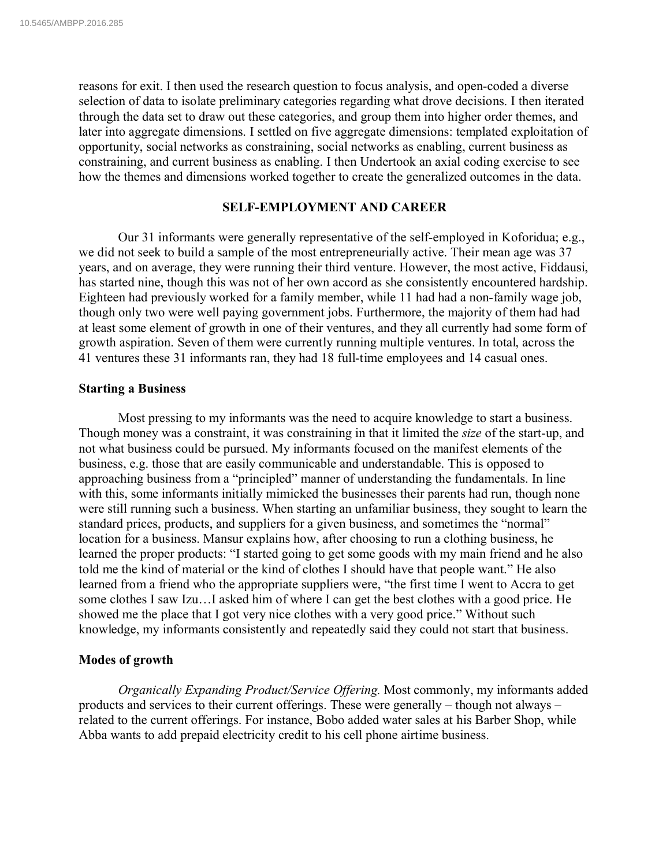reasons for exit. I then used the research question to focus analysis, and open-coded a diverse selection of data to isolate preliminary categories regarding what drove decisions. I then iterated through the data set to draw out these categories, and group them into higher order themes, and later into aggregate dimensions. I settled on five aggregate dimensions: templated exploitation of opportunity, social networks as constraining, social networks as enabling, current business as constraining, and current business as enabling. I then Undertook an axial coding exercise to see how the themes and dimensions worked together to create the generalized outcomes in the data.

## **SELF-EMPLOYMENT AND CAREER**

Our 31 informants were generally representative of the self-employed in Koforidua; e.g., we did not seek to build a sample of the most entrepreneurially active. Their mean age was 37 years, and on average, they were running their third venture. However, the most active, Fiddausi, has started nine, though this was not of her own accord as she consistently encountered hardship. Eighteen had previously worked for a family member, while 11 had had a non-family wage job, though only two were well paying government jobs. Furthermore, the majority of them had had at least some element of growth in one of their ventures, and they all currently had some form of growth aspiration. Seven of them were currently running multiple ventures. In total, across the 41 ventures these 31 informants ran, they had 18 full-time employees and 14 casual ones.

#### **Starting a Business**

Most pressing to my informants was the need to acquire knowledge to start a business. Though money was a constraint, it was constraining in that it limited the *size* of the start-up, and not what business could be pursued. My informants focused on the manifest elements of the business, e.g. those that are easily communicable and understandable. This is opposed to approaching business from a "principled" manner of understanding the fundamentals. In line with this, some informants initially mimicked the businesses their parents had run, though none were still running such a business. When starting an unfamiliar business, they sought to learn the standard prices, products, and suppliers for a given business, and sometimes the "normal" location for a business. Mansur explains how, after choosing to run a clothing business, he learned the proper products: "I started going to get some goods with my main friend and he also told me the kind of material or the kind of clothes I should have that people want." He also learned from a friend who the appropriate suppliers were, "the first time I went to Accra to get some clothes I saw Izu…I asked him of where I can get the best clothes with a good price. He showed me the place that I got very nice clothes with a very good price." Without such knowledge, my informants consistently and repeatedly said they could not start that business.

#### **Modes of growth**

*Organically Expanding Product/Service Offering.* Most commonly, my informants added products and services to their current offerings. These were generally – though not always – related to the current offerings. For instance, Bobo added water sales at his Barber Shop, while Abba wants to add prepaid electricity credit to his cell phone airtime business.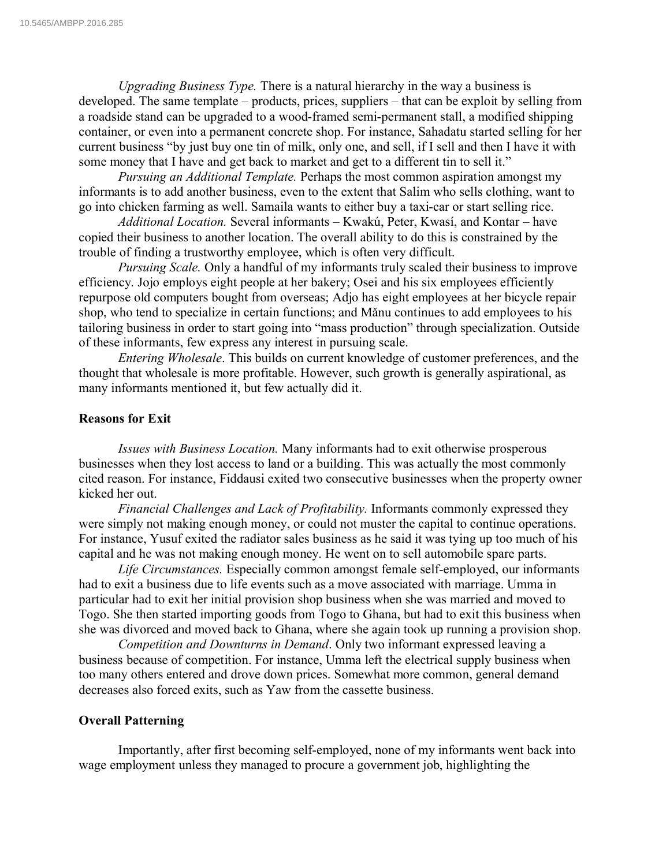*Upgrading Business Type.* There is a natural hierarchy in the way a business is developed. The same template – products, prices, suppliers – that can be exploit by selling from a roadside stand can be upgraded to a wood-framed semi-permanent stall, a modified shipping container, or even into a permanent concrete shop. For instance, Sahadatu started selling for her current business "by just buy one tin of milk, only one, and sell, if I sell and then I have it with some money that I have and get back to market and get to a different tin to sell it."

*Pursuing an Additional Template.* Perhaps the most common aspiration amongst my informants is to add another business, even to the extent that Salim who sells clothing, want to go into chicken farming as well. Samaila wants to either buy a taxi-car or start selling rice.

*Additional Location.* Several informants – Kwakú, Peter, Kwasí, and Kontar – have copied their business to another location. The overall ability to do this is constrained by the trouble of finding a trustworthy employee, which is often very difficult.

*Pursuing Scale.* Only a handful of my informants truly scaled their business to improve efficiency. Jojo employs eight people at her bakery; Osei and his six employees efficiently repurpose old computers bought from overseas; Adjo has eight employees at her bicycle repair shop, who tend to specialize in certain functions; and Mǎnu continues to add employees to his tailoring business in order to start going into "mass production" through specialization. Outside of these informants, few express any interest in pursuing scale.

*Entering Wholesale*. This builds on current knowledge of customer preferences, and the thought that wholesale is more profitable. However, such growth is generally aspirational, as many informants mentioned it, but few actually did it.

#### **Reasons for Exit**

*Issues with Business Location.* Many informants had to exit otherwise prosperous businesses when they lost access to land or a building. This was actually the most commonly cited reason. For instance, Fiddausi exited two consecutive businesses when the property owner kicked her out.

*Financial Challenges and Lack of Profitability.* Informants commonly expressed they were simply not making enough money, or could not muster the capital to continue operations. For instance, Yusuf exited the radiator sales business as he said it was tying up too much of his capital and he was not making enough money. He went on to sell automobile spare parts.

*Life Circumstances.* Especially common amongst female self-employed, our informants had to exit a business due to life events such as a move associated with marriage. Umma in particular had to exit her initial provision shop business when she was married and moved to Togo. She then started importing goods from Togo to Ghana, but had to exit this business when she was divorced and moved back to Ghana, where she again took up running a provision shop.

*Competition and Downturns in Demand*. Only two informant expressed leaving a business because of competition. For instance, Umma left the electrical supply business when too many others entered and drove down prices. Somewhat more common, general demand decreases also forced exits, such as Yaw from the cassette business.

## **Overall Patterning**

Importantly, after first becoming self-employed, none of my informants went back into wage employment unless they managed to procure a government job, highlighting the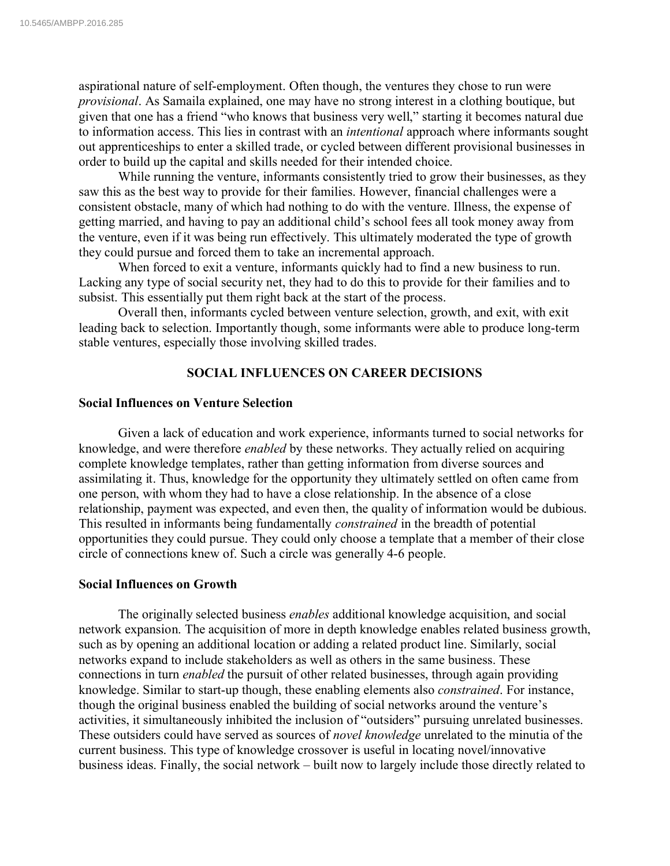aspirational nature of self-employment. Often though, the ventures they chose to run were *provisional*. As Samaila explained, one may have no strong interest in a clothing boutique, but given that one has a friend "who knows that business very well," starting it becomes natural due to information access. This lies in contrast with an *intentional* approach where informants sought out apprenticeships to enter a skilled trade, or cycled between different provisional businesses in order to build up the capital and skills needed for their intended choice.

While running the venture, informants consistently tried to grow their businesses, as they saw this as the best way to provide for their families. However, financial challenges were a consistent obstacle, many of which had nothing to do with the venture. Illness, the expense of getting married, and having to pay an additional child's school fees all took money away from the venture, even if it was being run effectively. This ultimately moderated the type of growth they could pursue and forced them to take an incremental approach.

When forced to exit a venture, informants quickly had to find a new business to run. Lacking any type of social security net, they had to do this to provide for their families and to subsist. This essentially put them right back at the start of the process.

Overall then, informants cycled between venture selection, growth, and exit, with exit leading back to selection. Importantly though, some informants were able to produce long-term stable ventures, especially those involving skilled trades.

## **SOCIAL INFLUENCES ON CAREER DECISIONS**

### **Social Influences on Venture Selection**

Given a lack of education and work experience, informants turned to social networks for knowledge, and were therefore *enabled* by these networks. They actually relied on acquiring complete knowledge templates, rather than getting information from diverse sources and assimilating it. Thus, knowledge for the opportunity they ultimately settled on often came from one person, with whom they had to have a close relationship. In the absence of a close relationship, payment was expected, and even then, the quality of information would be dubious. This resulted in informants being fundamentally *constrained* in the breadth of potential opportunities they could pursue. They could only choose a template that a member of their close circle of connections knew of. Such a circle was generally 4-6 people.

#### **Social Influences on Growth**

The originally selected business *enables* additional knowledge acquisition, and social network expansion. The acquisition of more in depth knowledge enables related business growth, such as by opening an additional location or adding a related product line. Similarly, social networks expand to include stakeholders as well as others in the same business. These connections in turn *enabled* the pursuit of other related businesses, through again providing knowledge. Similar to start-up though, these enabling elements also *constrained*. For instance, though the original business enabled the building of social networks around the venture's activities, it simultaneously inhibited the inclusion of "outsiders" pursuing unrelated businesses. These outsiders could have served as sources of *novel knowledge* unrelated to the minutia of the current business. This type of knowledge crossover is useful in locating novel/innovative business ideas. Finally, the social network – built now to largely include those directly related to